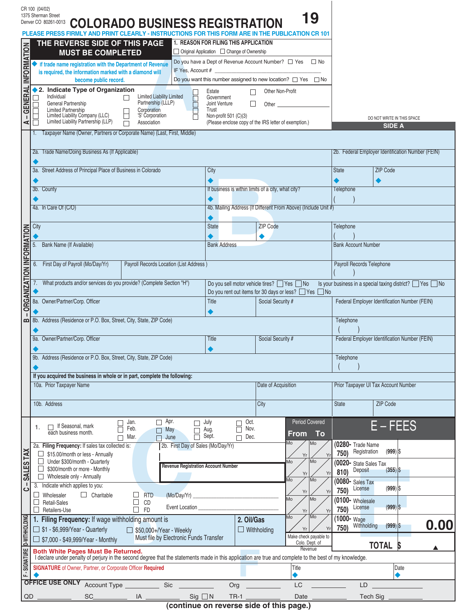|                                 | CR 100 (04/02)<br>1375 Sherman Street<br>Denver CO 80261-0013                                                                                                                                                                |                                                                                                                                                                                                                                                        |                                                                                                                                    |                                    | 19                                                             |                                      |                                                           |  |  |  |
|---------------------------------|------------------------------------------------------------------------------------------------------------------------------------------------------------------------------------------------------------------------------|--------------------------------------------------------------------------------------------------------------------------------------------------------------------------------------------------------------------------------------------------------|------------------------------------------------------------------------------------------------------------------------------------|------------------------------------|----------------------------------------------------------------|--------------------------------------|-----------------------------------------------------------|--|--|--|
|                                 | <b>COLORADO BUSINESS REGISTRATION</b><br>PLEASE PRESS FIRMLY AND PRINT CLEARLY - INSTRUCTIONS FOR THIS FORM ARE IN THE PUBLICATION CR 101<br><b>1. REASON FOR FILING THIS APPLICATION</b><br>THE REVERSE SIDE OF THIS PAGE   |                                                                                                                                                                                                                                                        |                                                                                                                                    |                                    |                                                                |                                      |                                                           |  |  |  |
|                                 | <b>MUST BE COMPLETED</b>                                                                                                                                                                                                     |                                                                                                                                                                                                                                                        | □ Original Application □ Change of Ownership                                                                                       |                                    |                                                                |                                      |                                                           |  |  |  |
| <b>GENERAL INFORMATION</b>      | If trade name registration with the Department of Revenue<br>is required, the information marked with a diamond will                                                                                                         | IF Yes, Account #                                                                                                                                                                                                                                      | Do you have a Dept of Revenue Account Number? □ Yes □ No                                                                           |                                    |                                                                |                                      |                                                           |  |  |  |
|                                 | become public record.                                                                                                                                                                                                        |                                                                                                                                                                                                                                                        | Do you want this number assigned to new location? $\Box$ Yes $\Box$ No                                                             |                                    |                                                                |                                      |                                                           |  |  |  |
|                                 | ♦ 2. Indicate Type of Organization<br>Individual<br>Limited Liability Limited<br>П                                                                                                                                           | П                                                                                                                                                                                                                                                      | Estate<br>Government                                                                                                               | Other Non-Profit<br>П              |                                                                |                                      |                                                           |  |  |  |
|                                 | Partnership (LLLP)<br>General Partnership<br>Limited Partnership<br>Limited Liability Company (LLC)<br>Limited Liability Partnership (LLP)<br>Corporation<br>'S' Corporation                                                 | F                                                                                                                                                                                                                                                      | Joint Venture<br>Trust                                                                                                             | $\perp$                            |                                                                |                                      |                                                           |  |  |  |
| $\mathbf{I}$<br>⋖               | Association<br>Ш                                                                                                                                                                                                             |                                                                                                                                                                                                                                                        | Non-profit 501 (C)(3)<br>(Please enclose copy of the IRS letter of exemption.)                                                     |                                    |                                                                |                                      | DO NOT WRITE IN THIS SPACE<br><b>SIDE A</b>               |  |  |  |
|                                 | Taxpayer Name (Owner, Partners or Corporate Name) (Last, First, Middle)                                                                                                                                                      |                                                                                                                                                                                                                                                        |                                                                                                                                    |                                    |                                                                |                                      |                                                           |  |  |  |
|                                 | 2a. Trade Name/Doing Business As (If Applicable)                                                                                                                                                                             |                                                                                                                                                                                                                                                        |                                                                                                                                    |                                    |                                                                |                                      | 2b. Federal Employer Identification Number (FEIN)         |  |  |  |
|                                 | 3a. Street Address of Principal Place of Business in Colorado                                                                                                                                                                |                                                                                                                                                                                                                                                        | City                                                                                                                               |                                    |                                                                | <b>ZIP Code</b><br><b>State</b>      |                                                           |  |  |  |
|                                 |                                                                                                                                                                                                                              |                                                                                                                                                                                                                                                        |                                                                                                                                    |                                    |                                                                |                                      | ◀                                                         |  |  |  |
|                                 | 3b. County                                                                                                                                                                                                                   |                                                                                                                                                                                                                                                        | If business is within limits of a city, what city?                                                                                 |                                    |                                                                | <b>Telephone</b>                     |                                                           |  |  |  |
|                                 | 4a. In Care Of (C/O)                                                                                                                                                                                                         |                                                                                                                                                                                                                                                        |                                                                                                                                    |                                    | 4b. Mailing Address (If Different From Above) (Include Unit #) |                                      |                                                           |  |  |  |
|                                 | City                                                                                                                                                                                                                         |                                                                                                                                                                                                                                                        | <b>State</b>                                                                                                                       | <b>ZIP Code</b>                    |                                                                | Telephone                            |                                                           |  |  |  |
|                                 |                                                                                                                                                                                                                              |                                                                                                                                                                                                                                                        |                                                                                                                                    |                                    |                                                                |                                      |                                                           |  |  |  |
|                                 | Bank Name (If Available)<br>5.                                                                                                                                                                                               |                                                                                                                                                                                                                                                        | <b>Bank Address</b>                                                                                                                |                                    |                                                                |                                      | <b>Bank Account Number</b>                                |  |  |  |
| <b>ORGANIZATION INFORMATION</b> | 6. First Day of Payroll (Mo/Day/Yr)<br>Payroll Records Location (List Address)                                                                                                                                               |                                                                                                                                                                                                                                                        | Do you sell motor vehicle tires? □ Yes □ No<br>Do you rent out items for 30 days or less? □ Yes □ No<br>Title<br>Social Security # |                                    |                                                                | Payroll Records Telephone            |                                                           |  |  |  |
|                                 | What products and/or services do you provide? (Complete Section "H")                                                                                                                                                         |                                                                                                                                                                                                                                                        |                                                                                                                                    |                                    |                                                                |                                      | Is your business in a special taxing district? □ Yes □ No |  |  |  |
|                                 | 8a. Owner/Partner/Corp. Officer                                                                                                                                                                                              |                                                                                                                                                                                                                                                        |                                                                                                                                    |                                    |                                                                |                                      | Federal Employer Identification Number (FEIN)             |  |  |  |
|                                 |                                                                                                                                                                                                                              |                                                                                                                                                                                                                                                        |                                                                                                                                    |                                    |                                                                |                                      |                                                           |  |  |  |
|                                 | 8b. Address (Residence or P.O. Box, Street, City, State, ZIP Code)                                                                                                                                                           |                                                                                                                                                                                                                                                        |                                                                                                                                    |                                    |                                                                | Telephone                            |                                                           |  |  |  |
|                                 | 9a. Owner/Partner/Corp. Officer                                                                                                                                                                                              |                                                                                                                                                                                                                                                        | Title                                                                                                                              | Social Security #                  |                                                                |                                      | Federal Employer Identification Number (FEIN)             |  |  |  |
|                                 | 9b. Address (Residence or P.O. Box, Street, City, State, ZIP Code)                                                                                                                                                           |                                                                                                                                                                                                                                                        |                                                                                                                                    |                                    |                                                                | Telephone                            |                                                           |  |  |  |
|                                 | If you acquired the business in whole or in part, complete the following:                                                                                                                                                    |                                                                                                                                                                                                                                                        |                                                                                                                                    |                                    |                                                                |                                      |                                                           |  |  |  |
|                                 | 10a. Prior Taxpayer Name                                                                                                                                                                                                     |                                                                                                                                                                                                                                                        |                                                                                                                                    | Date of Acquisition                |                                                                | Prior Taxpayer UI Tax Account Number |                                                           |  |  |  |
|                                 | 10b. Address                                                                                                                                                                                                                 |                                                                                                                                                                                                                                                        |                                                                                                                                    | City                               |                                                                | <b>State</b>                         | <b>ZIP Code</b>                                           |  |  |  |
|                                 | $\Box$ Apr.<br>Jan.<br>$\Box$ If Seasonal, mark<br>1.                                                                                                                                                                        | July<br>П                                                                                                                                                                                                                                              | Г                                                                                                                                  | Oct.                               | <b>Period Covered</b>                                          |                                      | $E$ – FEES                                                |  |  |  |
|                                 | Feb.<br>May<br>П<br>each business month.<br>Mar.<br>June<br>$\Box$<br>П                                                                                                                                                      | П<br>$\Box$                                                                                                                                                                                                                                            | Aug.<br>Г<br>Sept.                                                                                                                 | Nov.<br>Dec.                       | To<br><b>From</b>                                              |                                      |                                                           |  |  |  |
|                                 | 2a. Filing Frequency: If sales tax collected is:<br>\$15.00/month or less - Annually                                                                                                                                         | 2b. First Day of Sales (Mo/Day/Yr)                                                                                                                                                                                                                     |                                                                                                                                    | Mo<br>Mo<br>Yr<br>Yr               | (0280- Trade Name<br>Registration<br>750)                      | $(999) $ \$                          |                                                           |  |  |  |
| SALES TAX                       | Under \$300/month - Quarterly<br>\$300/month or more - Monthly                                                                                                                                                               | Mo<br>Mo<br><b>Revenue Registration Account Number</b>                                                                                                                                                                                                 |                                                                                                                                    |                                    | (0020- State Sales Tax                                         |                                      |                                                           |  |  |  |
|                                 | Wholesale only - Annually                                                                                                                                                                                                    | Yr<br>Иo<br>Mo                                                                                                                                                                                                                                         |                                                                                                                                    | Yr                                 | Deposit<br>810)<br>(0080- Sales Tax                            | (355)                                |                                                           |  |  |  |
| H<br>$\mathbf C$                | 3. Indicate which applies to you:<br>$\Box$ Charitable<br><b>RTD</b><br>Wholesaler<br>(Mo/Day/Yr)                                                                                                                            |                                                                                                                                                                                                                                                        |                                                                                                                                    |                                    | Yr<br>Yr                                                       | License<br>750)                      | $(999) $ \$                                               |  |  |  |
|                                 | <b>Retail-Sales</b><br>CD<br>$\Box$<br><b>FD</b><br>Retailers-Use                                                                                                                                                            | Mo<br>Mo<br>Event Location <b>Exercise Service Service Service Service Service Service Service Service Service Service Service Service Service Service Service Service Service Service Service Service Service Service Service Service Servi</b><br>Yr |                                                                                                                                    | Yr                                 | (0100- Wholesale<br>License<br>750)                            | $(999)$ \$                           |                                                           |  |  |  |
|                                 | 1. Filing Frequency: If wage withholding amount is                                                                                                                                                                           |                                                                                                                                                                                                                                                        | 2. Oil/Gas                                                                                                                         | Mo<br>Mo                           | 1000- Wage<br>Withholding                                      | 0.00<br>$(999)$ \$                   |                                                           |  |  |  |
| <b>D-WITHHOLDING</b>            | $\Box$ \$1 - \$6,999/Year - Quarterly<br>$\Box$ \$50,000+/Year - Weekly<br>Must file by Electronic Funds Transfer<br>□ \$7,000 - \$49,999/Year - Monthly                                                                     |                                                                                                                                                                                                                                                        | $\Box$ Withholding                                                                                                                 | Yrl<br>Yr<br>Make check payable to | 750)                                                           |                                      |                                                           |  |  |  |
|                                 | <b>Both White Pages Must Be Returned.</b>                                                                                                                                                                                    |                                                                                                                                                                                                                                                        |                                                                                                                                    |                                    | Colo. Dept. of<br>Revenue                                      | <b>TOTAL</b><br>S                    |                                                           |  |  |  |
| F-SIGNATURE                     | I declare under penalty of perjury in the second degree that the statements made in this application are true and complete to the best of my knowledge.<br><b>SIGNATURE</b> of Owner, Partner, or Corporate Officer Required | Title                                                                                                                                                                                                                                                  |                                                                                                                                    |                                    |                                                                | Date                                 |                                                           |  |  |  |
|                                 |                                                                                                                                                                                                                              |                                                                                                                                                                                                                                                        |                                                                                                                                    |                                    | ٠                                                              |                                      |                                                           |  |  |  |
|                                 | OFFICE USE ONLY Account Type<br>Sic                                                                                                                                                                                          |                                                                                                                                                                                                                                                        | Org                                                                                                                                |                                    | LC                                                             | LD                                   |                                                           |  |  |  |
|                                 | QD<br>SC<br>___ IA ______                                                                                                                                                                                                    | $Sig \square N$                                                                                                                                                                                                                                        | $TR-1$                                                                                                                             |                                    | Date                                                           |                                      | Tech Sig                                                  |  |  |  |

*(continue on reverse side of this page.)*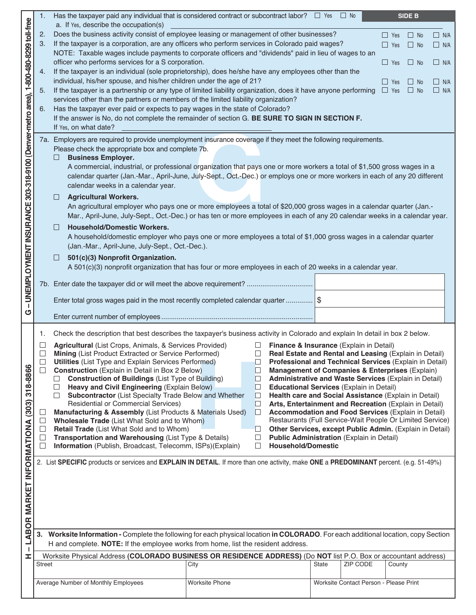|                                                                                     | 1.                          | Has the taxpayer paid any individual that is considered contract or subcontract labor? $\square$ Yes $\square$ No                                                                                                     |                       |                                                                                                                                          |              |                                        |                          | <b>SIDE B</b>          |                          |
|-------------------------------------------------------------------------------------|-----------------------------|-----------------------------------------------------------------------------------------------------------------------------------------------------------------------------------------------------------------------|-----------------------|------------------------------------------------------------------------------------------------------------------------------------------|--------------|----------------------------------------|--------------------------|------------------------|--------------------------|
|                                                                                     |                             | a. If Yes, describe the occupation(s)                                                                                                                                                                                 |                       |                                                                                                                                          |              |                                        |                          |                        |                          |
|                                                                                     | 2.                          | Does the business activity consist of employee leasing or management of other businesses?                                                                                                                             |                       |                                                                                                                                          |              |                                        | $\Box$ Yes               | $\Box$ No              | $\Box$ N/A               |
|                                                                                     | 3.                          | If the taxpayer is a corporation, are any officers who perform services in Colorado paid wages?                                                                                                                       |                       |                                                                                                                                          |              |                                        | $\Box$ Yes               | $\Box$ No              | $\Box$ N/A               |
|                                                                                     |                             | NOTE: Taxable wages include payments to corporate officers and "dividends" paid in lieu of wages to an<br>officer who performs services for a S corporation.                                                          |                       |                                                                                                                                          |              |                                        |                          |                        |                          |
|                                                                                     | 4.                          | If the taxpayer is an individual (sole proprietorship), does he/she have any employees other than the                                                                                                                 |                       |                                                                                                                                          |              |                                        | $\Box$ Yes               | $\Box$ No              | $\Box$ N/A               |
|                                                                                     |                             | individual, his/her spouse, and his/her children under the age of 21?                                                                                                                                                 |                       |                                                                                                                                          |              |                                        |                          |                        |                          |
|                                                                                     | 5.                          | If the taxpayer is a partnership or any type of limited liability organization, does it have anyone performing                                                                                                        |                       |                                                                                                                                          |              |                                        | $\Box$ Yes<br>$\Box$ Yes | $\Box$ No<br>$\Box$ No | $\Box$ N/A<br>$\Box$ N/A |
|                                                                                     |                             | services other than the partners or members of the limited liability organization?                                                                                                                                    |                       |                                                                                                                                          |              |                                        |                          |                        |                          |
|                                                                                     | 6.                          | Has the taxpayer ever paid or expects to pay wages in the state of Colorado?                                                                                                                                          |                       |                                                                                                                                          |              |                                        |                          |                        |                          |
|                                                                                     |                             | If the answer is No, do not complete the remainder of section G. BE SURE TO SIGN IN SECTION F.                                                                                                                        |                       |                                                                                                                                          |              |                                        |                          |                        |                          |
|                                                                                     |                             | If Yes, on what date?                                                                                                                                                                                                 |                       |                                                                                                                                          |              |                                        |                          |                        |                          |
|                                                                                     |                             | 7a. Employers are required to provide unemployment insurance coverage if they meet the following requirements.                                                                                                        |                       |                                                                                                                                          |              |                                        |                          |                        |                          |
|                                                                                     |                             | Please check the appropriate box and complete 7b.                                                                                                                                                                     |                       |                                                                                                                                          |              |                                        |                          |                        |                          |
|                                                                                     |                             | <b>Business Employer.</b>                                                                                                                                                                                             |                       |                                                                                                                                          |              |                                        |                          |                        |                          |
|                                                                                     |                             | A commercial, industrial, or professional organization that pays one or more workers a total of \$1,500 gross wages in a                                                                                              |                       |                                                                                                                                          |              |                                        |                          |                        |                          |
|                                                                                     |                             | calendar quarter (Jan.-Mar., April-June, July-Sept., Oct.-Dec.) or employs one or more workers in each of any 20 different                                                                                            |                       |                                                                                                                                          |              |                                        |                          |                        |                          |
|                                                                                     |                             | calendar weeks in a calendar year.                                                                                                                                                                                    |                       |                                                                                                                                          |              |                                        |                          |                        |                          |
|                                                                                     |                             | <b>Agricultural Workers.</b><br>ப                                                                                                                                                                                     |                       |                                                                                                                                          |              |                                        |                          |                        |                          |
|                                                                                     |                             | An agricultural employer who pays one or more employees a total of \$20,000 gross wages in a calendar quarter (Jan.-                                                                                                  |                       |                                                                                                                                          |              |                                        |                          |                        |                          |
|                                                                                     |                             | Mar., April-June, July-Sept., Oct.-Dec.) or has ten or more employees in each of any 20 calendar weeks in a calendar year.                                                                                            |                       |                                                                                                                                          |              |                                        |                          |                        |                          |
|                                                                                     |                             | <b>Household/Domestic Workers.</b><br>ப                                                                                                                                                                               |                       |                                                                                                                                          |              |                                        |                          |                        |                          |
|                                                                                     |                             | A household/domestic employer who pays one or more employees a total of \$1,000 gross wages in a calendar quarter                                                                                                     |                       |                                                                                                                                          |              |                                        |                          |                        |                          |
|                                                                                     |                             | (Jan.-Mar., April-June, July-Sept., Oct.-Dec.).                                                                                                                                                                       |                       |                                                                                                                                          |              |                                        |                          |                        |                          |
|                                                                                     |                             | 501(c)(3) Nonprofit Organization.<br>Ш                                                                                                                                                                                |                       |                                                                                                                                          |              |                                        |                          |                        |                          |
|                                                                                     |                             | A 501(c)(3) nonprofit organization that has four or more employees in each of 20 weeks in a calendar year.                                                                                                            |                       |                                                                                                                                          |              |                                        |                          |                        |                          |
|                                                                                     |                             | 7b. Enter date the taxpayer did or will meet the above requirement?                                                                                                                                                   |                       |                                                                                                                                          |              |                                        |                          |                        |                          |
|                                                                                     |                             |                                                                                                                                                                                                                       |                       |                                                                                                                                          |              |                                        |                          |                        |                          |
| - UNEMPLOYMENT INSURANCE 303-318-9100 (Denver-metro area), 1-800-480-8299 toll-free |                             | Enter total gross wages paid in the most recently completed calendar quarter                                                                                                                                          |                       |                                                                                                                                          |              |                                        |                          |                        |                          |
| U                                                                                   |                             |                                                                                                                                                                                                                       |                       |                                                                                                                                          |              |                                        |                          |                        |                          |
|                                                                                     |                             |                                                                                                                                                                                                                       |                       |                                                                                                                                          |              |                                        |                          |                        |                          |
|                                                                                     | 1.                          | Check the description that best describes the taxpayer's business activity in Colorado and explain In detail in box 2 below.                                                                                          |                       |                                                                                                                                          |              |                                        |                          |                        |                          |
|                                                                                     |                             | Agricultural (List Crops, Animals, & Services Provided)                                                                                                                                                               |                       | $\Box$ Finance & Insurance (Explain in Detail)                                                                                           |              |                                        |                          |                        |                          |
|                                                                                     | □                           | Mining (List Product Extracted or Service Performed)<br><b>Utilities</b> (List Type and Explain Services Performed)                                                                                                   |                       | Real Estate and Rental and Leasing (Explain in Detail)<br>$\Box$<br>∟                                                                    |              |                                        |                          |                        |                          |
|                                                                                     | П                           | <b>Construction</b> (Explain in Detail in Box 2 Below)                                                                                                                                                                | <b>D</b>              | Professional and Technical Services (Explain in Detail)<br>Management of Companies & Enterprises (Explain)                               |              |                                        |                          |                        |                          |
|                                                                                     |                             | <b>Construction of Buildings (List Type of Building)</b><br>ப                                                                                                                                                         |                       | Administrative and Waste Services (Explain in Detail)<br>$\mathbb{L}$                                                                    |              |                                        |                          |                        |                          |
|                                                                                     |                             | Heavy and Civil Engineering (Explain Below)<br>□                                                                                                                                                                      |                       | $\Box$<br><b>Educational Services (Explain in Detail)</b>                                                                                |              |                                        |                          |                        |                          |
|                                                                                     |                             | Subcontractor (List Specialty Trade Below and Whether<br>П<br><b>Residential or Commercial Services)</b>                                                                                                              |                       | Health care and Social Assistance (Explain in Detail)<br>$\Box$                                                                          |              |                                        |                          |                        |                          |
|                                                                                     |                             | Manufacturing & Assembly (List Products & Materials Used)                                                                                                                                                             |                       | $\Box$<br>Arts, Entertainment and Recreation (Explain in Detail)<br><b>Accommodation and Food Services (Explain in Detail)</b><br>$\Box$ |              |                                        |                          |                        |                          |
|                                                                                     | $\mathcal{L}_{\mathcal{A}}$ | Wholesale Trade (List What Sold and to Whom)                                                                                                                                                                          |                       | Restaurants (Full Service-Wait People Or Limited Service)                                                                                |              |                                        |                          |                        |                          |
|                                                                                     | ٦                           | Retail Trade (List What Sold and to Whom)                                                                                                                                                                             |                       | Other Services, except Public Admin. (Explain in Detail)<br>$\Box$                                                                       |              |                                        |                          |                        |                          |
|                                                                                     | $\sqcup$                    | Transportation and Warehousing (List Type & Details)                                                                                                                                                                  |                       | Public Administration (Explain in Detail)<br>$\Box$                                                                                      |              |                                        |                          |                        |                          |
|                                                                                     | П                           | Information (Publish, Broadcast, Telecomm, ISPs)(Explain)                                                                                                                                                             |                       | <b>Household/Domestic</b><br>□                                                                                                           |              |                                        |                          |                        |                          |
|                                                                                     |                             | 2. List SPECIFIC products or services and EXPLAIN IN DETAIL. If more than one activity, make ONE a PREDOMINANT percent. (e.g. 51-49%)                                                                                 |                       |                                                                                                                                          |              |                                        |                          |                        |                          |
|                                                                                     |                             |                                                                                                                                                                                                                       |                       |                                                                                                                                          |              |                                        |                          |                        |                          |
|                                                                                     |                             |                                                                                                                                                                                                                       |                       |                                                                                                                                          |              |                                        |                          |                        |                          |
|                                                                                     |                             |                                                                                                                                                                                                                       |                       |                                                                                                                                          |              |                                        |                          |                        |                          |
|                                                                                     |                             |                                                                                                                                                                                                                       |                       |                                                                                                                                          |              |                                        |                          |                        |                          |
|                                                                                     |                             |                                                                                                                                                                                                                       |                       |                                                                                                                                          |              |                                        |                          |                        |                          |
|                                                                                     |                             |                                                                                                                                                                                                                       |                       |                                                                                                                                          |              |                                        |                          |                        |                          |
| LABOR MARKET INFORMATIONA (303) 318-8866                                            | 3.                          | Worksite Information - Complete the following for each physical location in COLORADO. For each additional location, copy Section<br>H and complete. NOTE: If the employee works from home, list the resident address. |                       |                                                                                                                                          |              |                                        |                          |                        |                          |
| J.                                                                                  |                             | Worksite Physical Address (COLORADO BUSINESS OR RESIDENCE ADDRESS) (Do NOT list P.O. Box or accountant address)                                                                                                       |                       |                                                                                                                                          |              |                                        |                          |                        |                          |
| I                                                                                   | <b>Street</b>               |                                                                                                                                                                                                                       | City                  |                                                                                                                                          | <b>State</b> | ZIP CODE                               | County                   |                        |                          |
|                                                                                     |                             |                                                                                                                                                                                                                       |                       |                                                                                                                                          |              |                                        |                          |                        |                          |
|                                                                                     |                             | Average Number of Monthly Employees                                                                                                                                                                                   | <b>Worksite Phone</b> |                                                                                                                                          |              | Worksite Contact Person - Please Print |                          |                        |                          |
|                                                                                     |                             |                                                                                                                                                                                                                       |                       |                                                                                                                                          |              |                                        |                          |                        |                          |